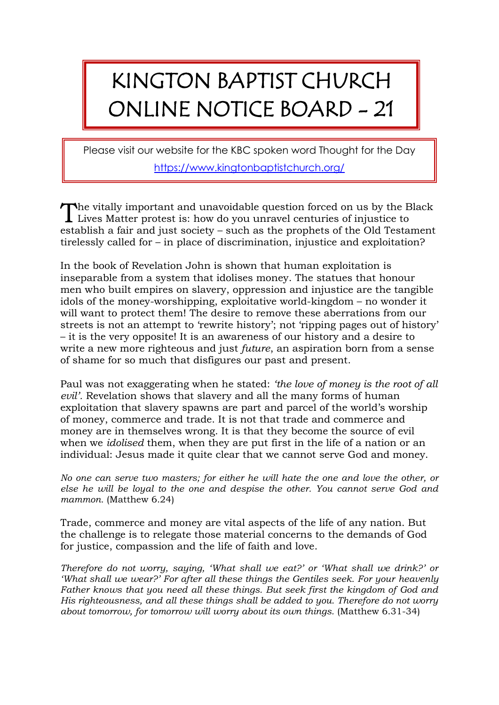## KINGTON BAPTIST CHURCH ONLINE NOTICE BOARD - 21

Please visit our website for the KBC spoken word Thought for the Day <https://www.kingtonbaptistchurch.org/>

he vitally important and unavoidable question forced on us by the Black The vitally important and unavoidable question forced on us by the B<br>Lives Matter protest is: how do you unravel centuries of injustice to establish a fair and just society – such as the prophets of the Old Testament tirelessly called for – in place of discrimination, injustice and exploitation?

In the book of Revelation John is shown that human exploitation is inseparable from a system that idolises money. The statues that honour men who built empires on slavery, oppression and injustice are the tangible idols of the money-worshipping, exploitative world-kingdom – no wonder it will want to protect them! The desire to remove these aberrations from our streets is not an attempt to 'rewrite history'; not 'ripping pages out of history' – it is the very opposite! It is an awareness of our history and a desire to write a new more righteous and just *future*, an aspiration born from a sense of shame for so much that disfigures our past and present.

Paul was not exaggerating when he stated: *'the love of money is the root of all evil'.* Revelation shows that slavery and all the many forms of human exploitation that slavery spawns are part and parcel of the world's worship of money, commerce and trade. It is not that trade and commerce and money are in themselves wrong. It is that they become the source of evil when we *idolised* them, when they are put first in the life of a nation or an individual: Jesus made it quite clear that we cannot serve God and money.

*No one can serve two masters; for either he will hate the one and love the other, or else he will be loyal to the one and despise the other. You cannot serve God and mammon.* (Matthew 6.24)

Trade, commerce and money are vital aspects of the life of any nation. But the challenge is to relegate those material concerns to the demands of God for justice, compassion and the life of faith and love.

*Therefore do not worry, saying, 'What shall we eat?' or 'What shall we drink?' or 'What shall we wear?' For after all these things the Gentiles seek. For your heavenly Father knows that you need all these things. But seek first the kingdom of God and His righteousness, and all these things shall be added to you. Therefore do not worry about tomorrow, for tomorrow will worry about its own things.* (Matthew 6.31-34)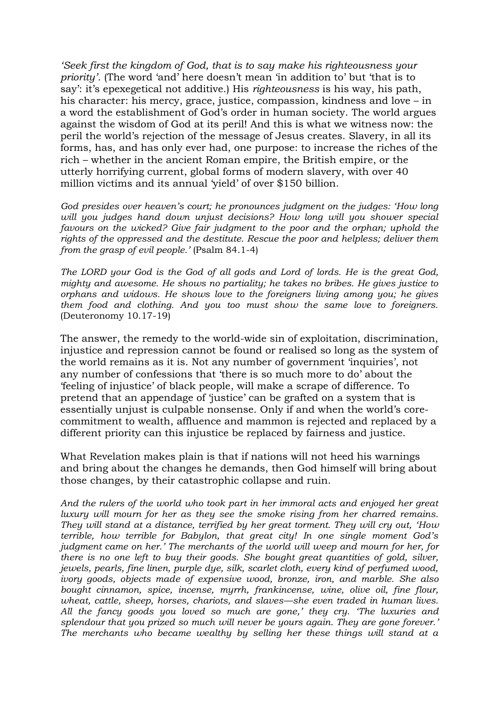*'Seek first the kingdom of God, that is to say make his righteousness your priority'.* (The word 'and' here doesn't mean 'in addition to' but 'that is to say': it's epexegetical not additive.) His *righteousness* is his way, his path, his character: his mercy, grace, justice, compassion, kindness and love – in a word the establishment of God's order in human society. The world argues against the wisdom of God at its peril! And this is what we witness now: the peril the world's rejection of the message of Jesus creates. Slavery, in all its forms, has, and has only ever had, one purpose: to increase the riches of the rich – whether in the ancient Roman empire, the British empire, or the utterly horrifying current, global forms of modern slavery, with over 40 million victims and its annual 'yield' of over \$150 billion.

*God presides over heaven's court; he pronounces judgment on the judges: 'How long*  will you judges hand down unjust decisions? How long will you shower special *favours on the wicked? Give fair judgment to the poor and the orphan; uphold the rights of the oppressed and the destitute. Rescue the poor and helpless; deliver them from the grasp of evil people.'* (Psalm 84.1-4)

*The LORD your God is the God of all gods and Lord of lords. He is the great God, mighty and awesome. He shows no partiality; he takes no bribes. He gives justice to orphans and widows. He shows love to the foreigners living among you; he gives them food and clothing. And you too must show the same love to foreigners.* (Deuteronomy 10.17-19)

The answer, the remedy to the world-wide sin of exploitation, discrimination, injustice and repression cannot be found or realised so long as the system of the world remains as it is. Not any number of government 'inquiries', not any number of confessions that 'there is so much more to do' about the 'feeling of injustice' of black people, will make a scrape of difference. To pretend that an appendage of 'justice' can be grafted on a system that is essentially unjust is culpable nonsense. Only if and when the world's corecommitment to wealth, affluence and mammon is rejected and replaced by a different priority can this injustice be replaced by fairness and justice.

What Revelation makes plain is that if nations will not heed his warnings and bring about the changes he demands, then God himself will bring about those changes, by their catastrophic collapse and ruin.

*And the rulers of the world who took part in her immoral acts and enjoyed her great luxury will mourn for her as they see the smoke rising from her charred remains. They will stand at a distance, terrified by her great torment. They will cry out, 'How terrible, how terrible for Babylon, that great city! In one single moment God's judgment came on her.' The merchants of the world will weep and mourn for her, for there is no one left to buy their goods. She bought great quantities of gold, silver, jewels, pearls, fine linen, purple dye, silk, scarlet cloth, every kind of perfumed wood, ivory goods, objects made of expensive wood, bronze, iron, and marble. She also bought cinnamon, spice, incense, myrrh, frankincense, wine, olive oil, fine flour, wheat, cattle, sheep, horses, chariots, and slaves––she even traded in human lives. All the fancy goods you loved so much are gone,' they cry. 'The luxuries and splendour that you prized so much will never be yours again. They are gone forever.' The merchants who became wealthy by selling her these things will stand at a*